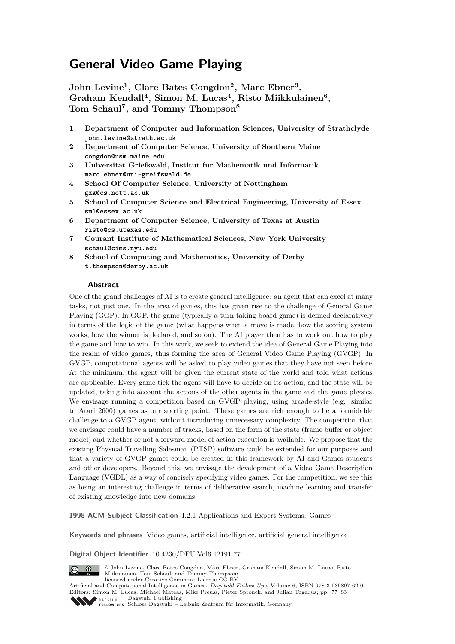**John Levine<sup>1</sup> , Clare Bates Congdon<sup>2</sup> , Marc Ebner<sup>3</sup> , Graham Kendall<sup>4</sup> , Simon M. Lucas<sup>4</sup> , Risto Miikkulainen<sup>6</sup> , Tom Schaul<sup>7</sup> , and Tommy Thompson<sup>8</sup>**

- **1 Department of Computer and Information Sciences, University of Strathclyde john.levine@strath.ac.uk**
- **2 Department of Computer Science, University of Southern Maine congdon@usm.maine.edu**
- **3 Universitat Griefswald, Institut fur Mathematik und Informatik marc.ebner@uni-greifswald.de**
- **4 School Of Computer Science, University of Nottingham gxk@cs.nott.ac.uk**
- **5 School of Computer Science and Electrical Engineering, University of Essex sml@essex.ac.uk**
- **6 Department of Computer Science, University of Texas at Austin risto@cs.utexas.edu**
- **7 Courant Institute of Mathematical Sciences, New York University schaul@cims.nyu.edu**
- **8 School of Computing and Mathematics, University of Derby t.thompson@derby.ac.uk**

## **Abstract**

One of the grand challenges of AI is to create general intelligence: an agent that can excel at many tasks, not just one. In the area of games, this has given rise to the challenge of General Game Playing (GGP). In GGP, the game (typically a turn-taking board game) is defined declaratively in terms of the logic of the game (what happens when a move is made, how the scoring system works, how the winner is declared, and so on). The AI player then has to work out how to play the game and how to win. In this work, we seek to extend the idea of General Game Playing into the realm of video games, thus forming the area of General Video Game Playing (GVGP). In GVGP, computational agents will be asked to play video games that they have not seen before. At the minimum, the agent will be given the current state of the world and told what actions are applicable. Every game tick the agent will have to decide on its action, and the state will be updated, taking into account the actions of the other agents in the game and the game physics. We envisage running a competition based on GVGP playing, using arcade-style (e.g. similar to Atari 2600) games as our starting point. These games are rich enough to be a formidable challenge to a GVGP agent, without introducing unnecessary complexity. The competition that we envisage could have a number of tracks, based on the form of the state (frame buffer or object model) and whether or not a forward model of action execution is available. We propose that the existing Physical Travelling Salesman (PTSP) software could be extended for our purposes and that a variety of GVGP games could be created in this framework by AI and Games students and other developers. Beyond this, we envisage the development of a Video Game Description Language (VGDL) as a way of concisely specifying video games. For the competition, we see this as being an interesting challenge in terms of deliberative search, machine learning and transfer of existing knowledge into new domains.

**1998 ACM Subject Classification** I.2.1 Applications and Expert Systems: Games

**Keywords and phrases** Video games, artificial intelligence, artificial general intelligence

**Digital Object Identifier** [10.4230/DFU.Vol6.12191.77](http://dx.doi.org/10.4230/DFU.Vol6.12191.77)



© John Levine, Clare Bates Congdon, Marc Ebner, Graham Kendall, Simon M. Lucas, Risto Miikulainen, Tom Schaul, and Tommy Thompson; licensed under Creative Commons License CC-BY



Schloss Dagstuhl – Leibniz-Zentrum für Informatik, Germany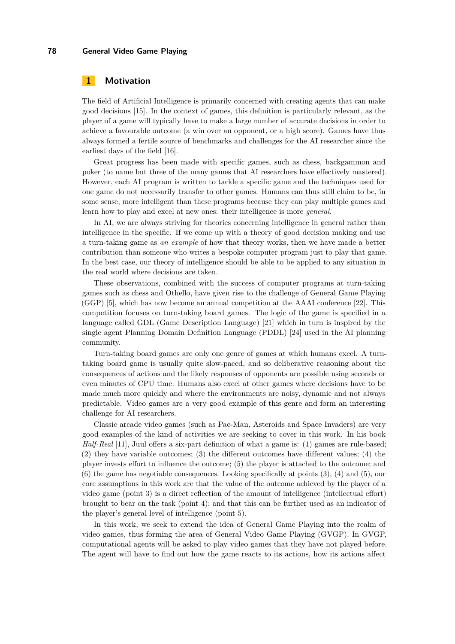## **1 Motivation**

The field of Artificial Intelligence is primarily concerned with creating agents that can make good decisions [\[15\]](#page-6-1). In the context of games, this definition is particularly relevant, as the player of a game will typically have to make a large number of accurate decisions in order to achieve a favourable outcome (a win over an opponent, or a high score). Games have thus always formed a fertile source of benchmarks and challenges for the AI researcher since the earliest days of the field [\[16\]](#page-6-2).

Great progress has been made with specific games, such as chess, backgammon and poker (to name but three of the many games that AI researchers have effectively mastered). However, each AI program is written to tackle a specific game and the techniques used for one game do not necessarily transfer to other games. Humans can thus still claim to be, in some sense, more intelligent than these programs because they can play multiple games and learn how to play and excel at new ones: their intelligence is more *general*.

In AI, we are always striving for theories concerning intelligence in general rather than intelligence in the specific. If we come up with a theory of good decision making and use a turn-taking game as *an example* of how that theory works, then we have made a better contribution than someone who writes a bespoke computer program just to play that game. In the best case, our theory of intelligence should be able to be applied to any situation in the real world where decisions are taken.

These observations, combined with the success of computer programs at turn-taking games such as chess and Othello, have given rise to the challenge of General Game Playing (GGP) [\[5\]](#page-5-0), which has now become an annual competition at the AAAI conference [\[22\]](#page-6-3). This competition focuses on turn-taking board games. The logic of the game is specified in a language called GDL (Game Description Language) [\[21\]](#page-6-4) which in turn is inspired by the single agent Planning Domain Definition Language (PDDL) [\[24\]](#page-6-5) used in the AI planning community.

Turn-taking board games are only one genre of games at which humans excel. A turntaking board game is usually quite slow-paced, and so deliberative reasoning about the consequences of actions and the likely responses of opponents are possible using seconds or even minutes of CPU time. Humans also excel at other games where decisions have to be made much more quickly and where the environments are noisy, dynamic and not always predictable. Video games are a very good example of this genre and form an interesting challenge for AI researchers.

Classic arcade video games (such as Pac-Man, Asteroids and Space Invaders) are very good examples of the kind of activities we are seeking to cover in this work. In his book *Half-Real* [\[11\]](#page-6-6), Juul offers a six-part definition of what a game is: (1) games are rule-based; (2) they have variable outcomes; (3) the different outcomes have different values; (4) the player invests effort to influence the outcome; (5) the player is attached to the outcome; and (6) the game has negotiable consequences. Looking specifically at points (3), (4) and (5), our core assumptions in this work are that the value of the outcome achieved by the player of a video game (point 3) is a direct reflection of the amount of intelligence (intellectual effort) brought to bear on the task (point 4); and that this can be further used as an indicator of the player's general level of intelligence (point 5).

In this work, we seek to extend the idea of General Game Playing into the realm of video games, thus forming the area of General Video Game Playing (GVGP). In GVGP, computational agents will be asked to play video games that they have not played before. The agent will have to find out how the game reacts to its actions, how its actions affect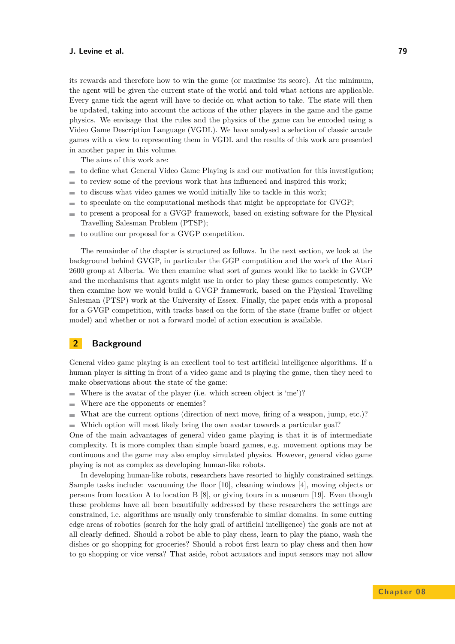#### **J. Levine et al. 79**

its rewards and therefore how to win the game (or maximise its score). At the minimum, the agent will be given the current state of the world and told what actions are applicable. Every game tick the agent will have to decide on what action to take. The state will then be updated, taking into account the actions of the other players in the game and the game physics. We envisage that the rules and the physics of the game can be encoded using a Video Game Description Language (VGDL). We have analysed a selection of classic arcade games with a view to representing them in VGDL and the results of this work are presented in another paper in this volume.

The aims of this work are:

- to define what General Video Game Playing is and our motivation for this investigation;  $\blacksquare$
- to review some of the previous work that has influenced and inspired this work; ÷
- to discuss what video games we would initially like to tackle in this work; ÷
- to speculate on the computational methods that might be appropriate for GVGP;  $\overline{a}$
- to present a proposal for a GVGP framework, based on existing software for the Physical Travelling Salesman Problem (PTSP);
- to outline our proposal for a GVGP competition.  $\sim$

The remainder of the chapter is structured as follows. In the next section, we look at the background behind GVGP, in particular the GGP competition and the work of the Atari 2600 group at Alberta. We then examine what sort of games would like to tackle in GVGP and the mechanisms that agents might use in order to play these games competently. We then examine how we would build a GVGP framework, based on the Physical Travelling Salesman (PTSP) work at the University of Essex. Finally, the paper ends with a proposal for a GVGP competition, with tracks based on the form of the state (frame buffer or object model) and whether or not a forward model of action execution is available.

# **2 Background**

General video game playing is an excellent tool to test artificial intelligence algorithms. If a human player is sitting in front of a video game and is playing the game, then they need to make observations about the state of the game:

- Where is the avatar of the player (i.e. which screen object is 'me')?  $\sim$
- Where are the opponents or enemies?  $\sim$
- What are the current options (direction of next move, firing of a weapon, jump, etc.)? m.
- Which option will most likely bring the own avatar towards a particular goal?

One of the main advantages of general video game playing is that it is of intermediate complexity. It is more complex than simple board games, e.g. movement options may be continuous and the game may also employ simulated physics. However, general video game playing is not as complex as developing human-like robots.

In developing human-like robots, researchers have resorted to highly constrained settings. Sample tasks include: vacuuming the floor [\[10\]](#page-5-1), cleaning windows [\[4\]](#page-5-2), moving objects or persons from location A to location B  $[8]$ , or giving tours in a museum [\[19\]](#page-6-7). Even though these problems have all been beautifully addressed by these researchers the settings are constrained, i.e. algorithms are usually only transferable to similar domains. In some cutting edge areas of robotics (search for the holy grail of artificial intelligence) the goals are not at all clearly defined. Should a robot be able to play chess, learn to play the piano, wash the dishes or go shopping for groceries? Should a robot first learn to play chess and then how to go shopping or vice versa? That aside, robot actuators and input sensors may not allow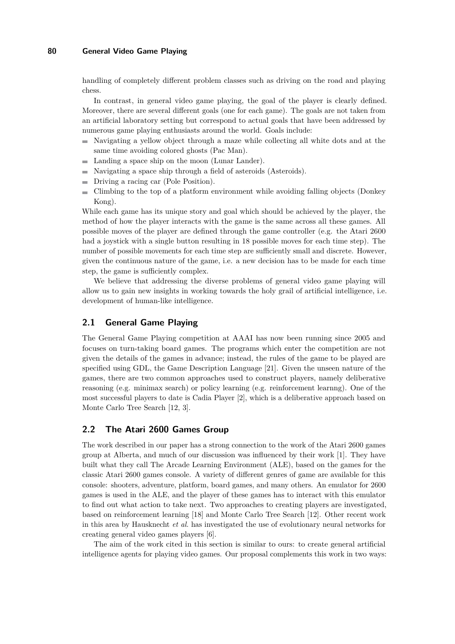handling of completely different problem classes such as driving on the road and playing chess.

In contrast, in general video game playing, the goal of the player is clearly defined. Moreover, there are several different goals (one for each game). The goals are not taken from an artificial laboratory setting but correspond to actual goals that have been addressed by numerous game playing enthusiasts around the world. Goals include:

- $\mathbf{m}$  . Navigating a yellow object through a maze while collecting all white dots and at the same time avoiding colored ghosts (Pac Man).
- Landing a space ship on the moon (Lunar Lander).
- Navigating a space ship through a field of asteroids (Asteroids).
- Driving a racing car (Pole Position).  $\mathcal{L}_{\mathcal{A}}$
- Climbing to the top of a platform environment while avoiding falling objects (Donkey  $\equiv$ Kong).

While each game has its unique story and goal which should be achieved by the player, the method of how the player interacts with the game is the same across all these games. All possible moves of the player are defined through the game controller (e.g. the Atari 2600 had a joystick with a single button resulting in 18 possible moves for each time step). The number of possible movements for each time step are sufficiently small and discrete. However, given the continuous nature of the game, i.e. a new decision has to be made for each time step, the game is sufficiently complex.

We believe that addressing the diverse problems of general video game playing will allow us to gain new insights in working towards the holy grail of artificial intelligence, i.e. development of human-like intelligence.

#### **2.1 General Game Playing**

The General Game Playing competition at AAAI has now been running since 2005 and focuses on turn-taking board games. The programs which enter the competition are not given the details of the games in advance; instead, the rules of the game to be played are specified using GDL, the Game Description Language [\[21\]](#page-6-4). Given the unseen nature of the games, there are two common approaches used to construct players, namely deliberative reasoning (e.g. minimax search) or policy learning (e.g. reinforcement learnng). One of the most successful players to date is Cadia Player [\[2\]](#page-5-4), which is a deliberative approach based on Monte Carlo Tree Search [\[12,](#page-6-8) [3\]](#page-5-5).

## **2.2 The Atari 2600 Games Group**

The work described in our paper has a strong connection to the work of the Atari 2600 games group at Alberta, and much of our discussion was influenced by their work [\[1\]](#page-5-6). They have built what they call The Arcade Learning Environment (ALE), based on the games for the classic Atari 2600 games console. A variety of different genres of game are available for this console: shooters, adventure, platform, board games, and many others. An emulator for 2600 games is used in the ALE, and the player of these games has to interact with this emulator to find out what action to take next. Two approaches to creating players are investigated, based on reinforcement learning [\[18\]](#page-6-9) and Monte Carlo Tree Search [\[12\]](#page-6-8). Other recent work in this area by Hausknecht *et al.* has investigated the use of evolutionary neural networks for creating general video games players [\[6\]](#page-5-7).

The aim of the work cited in this section is similar to ours: to create general artificial intelligence agents for playing video games. Our proposal complements this work in two ways: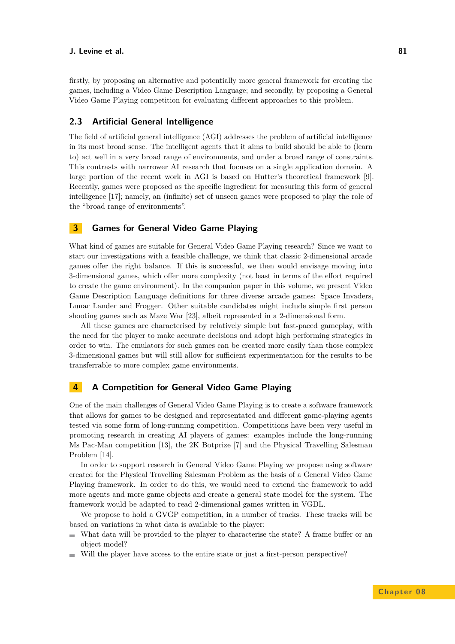#### **J. Levine et al. 81**

firstly, by proposing an alternative and potentially more general framework for creating the games, including a Video Game Description Language; and secondly, by proposing a General Video Game Playing competition for evaluating different approaches to this problem.

## **2.3 Artificial General Intelligence**

The field of artificial general intelligence (AGI) addresses the problem of artificial intelligence in its most broad sense. The intelligent agents that it aims to build should be able to (learn to) act well in a very broad range of environments, and under a broad range of constraints. This contrasts with narrower AI research that focuses on a single application domain. A large portion of the recent work in AGI is based on Hutter's theoretical framework [\[9\]](#page-5-8). Recently, games were proposed as the specific ingredient for measuring this form of general intelligence [\[17\]](#page-6-10); namely, an (infinite) set of unseen games were proposed to play the role of the "broad range of environments".

# **3 Games for General Video Game Playing**

What kind of games are suitable for General Video Game Playing research? Since we want to start our investigations with a feasible challenge, we think that classic 2-dimensional arcade games offer the right balance. If this is successful, we then would envisage moving into 3-dimensional games, which offer more complexity (not least in terms of the effort required to create the game environment). In the companion paper in this volume, we present Video Game Description Language definitions for three diverse arcade games: Space Invaders, Lunar Lander and Frogger. Other suitable candidates might include simple first person shooting games such as Maze War [\[23\]](#page-6-11), albeit represented in a 2-dimensional form.

All these games are characterised by relatively simple but fast-paced gameplay, with the need for the player to make accurate decisions and adopt high performing strategies in order to win. The emulators for such games can be created more easily than those complex 3-dimensional games but will still allow for sufficient experimentation for the results to be transferrable to more complex game environments.

## **4 A Competition for General Video Game Playing**

One of the main challenges of General Video Game Playing is to create a software framework that allows for games to be designed and representated and different game-playing agents tested via some form of long-running competition. Competitions have been very useful in promoting research in creating AI players of games: examples include the long-running Ms Pac-Man competition [\[13\]](#page-6-12), the 2K Botprize [\[7\]](#page-5-9) and the Physical Travelling Salesman Problem [\[14\]](#page-6-13).

In order to support research in General Video Game Playing we propose using software created for the Physical Travelling Salesman Problem as the basis of a General Video Game Playing framework. In order to do this, we would need to extend the framework to add more agents and more game objects and create a general state model for the system. The framework would be adapted to read 2-dimensional games written in VGDL.

We propose to hold a GVGP competition, in a number of tracks. These tracks will be based on variations in what data is available to the player:

- What data will be provided to the player to characterise the state? A frame buffer or an  $\sim$ object model?
- Will the player have access to the entire state or just a first-person perspective?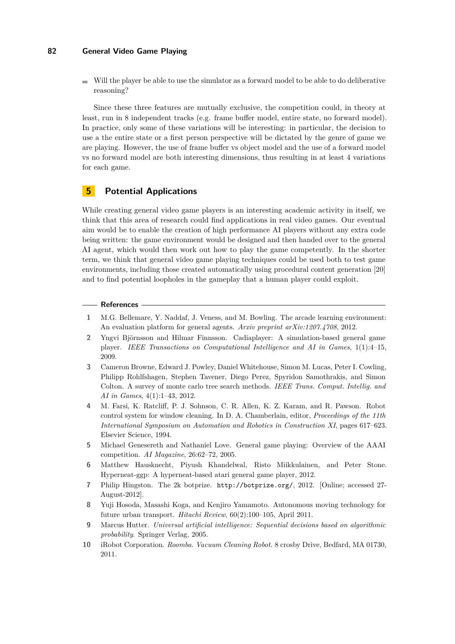$\blacksquare$  Will the player be able to use the simulator as a forward model to be able to do deliberative reasoning?

Since these three features are mutually exclusive, the competition could, in theory at least, run in 8 independent tracks (e.g. frame buffer model, entire state, no forward model). In practice, only some of these variations will be interesting: in particular, the decision to use a the entire state or a first person perspective will be dictated by the genre of game we are playing. However, the use of frame buffer vs object model and the use of a forward model vs no forward model are both interesting dimensions, thus resulting in at least 4 variations for each game.

# **5 Potential Applications**

While creating general video game players is an interesting academic activity in itself, we think that this area of research could find applications in real video games. Our eventual aim would be to enable the creation of high performance AI players without any extra code being written: the game environment would be designed and then handed over to the general AI agent, which would then work out how to play the game competently. In the shorter term, we think that general video game playing techniques could be used both to test game environments, including those created automatically using procedural content generation [\[20\]](#page-6-14) and to find potential loopholes in the gameplay that a human player could exploit.

#### **References**

- <span id="page-5-6"></span>**1** M.G. Bellemare, Y. Naddaf, J. Veness, and M. Bowling. The arcade learning environment: An evaluation platform for general agents. *Arxiv preprint arXiv:1207.4708*, 2012.
- <span id="page-5-4"></span>**2** Yngvi Björnsson and Hilmar Finnsson. Cadiaplayer: A simulation-based general game player. *IEEE Transactions on Computational Intelligence and AI in Games*, 1(1):4–15, 2009.
- <span id="page-5-5"></span>**3** Cameron Browne, Edward J. Powley, Daniel Whitehouse, Simon M. Lucas, Peter I. Cowling, Philipp Rohlfshagen, Stephen Tavener, Diego Perez, Spyridon Samothrakis, and Simon Colton. A survey of monte carlo tree search methods. *IEEE Trans. Comput. Intellig. and AI in Games*, 4(1):1–43, 2012.
- <span id="page-5-2"></span>**4** M. Farsi, K. Ratcliff, P. J. Sohnson, C. R. Allen, K. Z. Karam, and R. Pawson. Robot control system for window cleaning. In D. A. Chamberlain, editor, *Proceedings of the 11th International Symposium on Automation and Robotics in Construction XI*, pages 617–623. Elsevier Science, 1994.
- <span id="page-5-0"></span>**5** Michael Genesereth and Nathaniel Love. General game playing: Overview of the AAAI competition. *AI Magazine*, 26:62–72, 2005.
- <span id="page-5-7"></span>**6** Matthew Hausknecht, Piyush Khandelwal, Risto Miikkulainen, and Peter Stone. Hyperneat-ggp: A hyperneat-based atari general game player, 2012.
- <span id="page-5-9"></span>**7** Philip Hingston. The 2k botprize. <http://botprize.org/>, 2012. [Online; accessed 27- August-2012].
- <span id="page-5-3"></span>**8** Yuji Hosoda, Masashi Koga, and Kenjiro Yamamoto. Autonomous moving technology for future urban transport. *Hitachi Review*, 60(2):100–105, April 2011.
- <span id="page-5-8"></span>**9** Marcus Hutter. *Universal artificial intelligence: Sequential decisions based on algorithmic probability*. Springer Verlag, 2005.
- <span id="page-5-1"></span>**10** iRobot Corporation. *Roomba. Vacuum Cleaning Robot*. 8 crosby Drive, Bedfard, MA 01730, 2011.